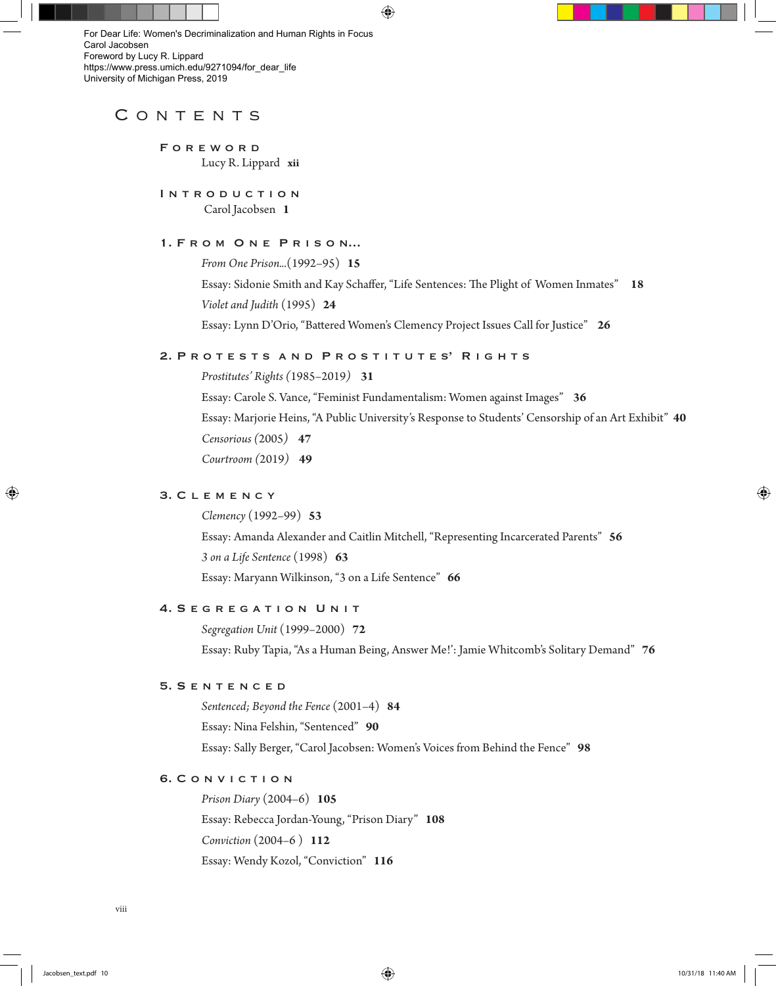⊕

[For Dear Life: Women's Decriminalization and Human Rights in Focus](https://www.press.umich.edu/9271094/for_dear_life)  Carol Jacobsen Foreword by Lucy R. Lippard https://www.press.umich.edu/9271094/for\_dear\_life University of Michigan Press, 2019

## CONTENTS

 F o r e w o r d Lucy R. Lippard **xii**

INTRODUCTION Carol Jacobsen **1**

## 1. FROM ONE PRISON...

 *From One Prison...*(1992–95) **15** Essay: Sidonie Smith and Kay Schaffer, "Life Sentences: The Plight of Women Inmates" **18** *Violet and Judith* (1995) **24** Essay: Lynn D'Orio, "Battered Women's Clemency Project Issues Call for Justice" **26**

### 2. PROTESTS AND PROSTITUTES' RIGHTS

*Prostitutes' Rights (*1985–2019*)* **31**

 Essay: Carole S. Vance, "Feminist Fundamentalism: Women against Images" **36** Essay: Marjorie Heins, "A Public University's Response to Students' Censorship of an Art Exhibit" **40**  *Censorious (*2005*)* **47**  *Courtroom (*2019*)* **49**

## 3. C l e m e n c y

 *Clemency* (1992–99) **53** Essay: Amanda Alexander and Caitlin Mitchell, "Representing Incarcerated Parents" **56** *3 on a Life Sentence* (1998) **63** Essay: Maryann Wilkinson, "3 on a Life Sentence" **66**

### 4. SEGREGATION UNIT

 *Segregation Unit* (1999–2000) **72** Essay: Ruby Tapia, "As a Human Being, Answer Me!': Jamie Whitcomb's Solitary Demand" **76**

#### 5. S e n t e n c e d

 *Sentenced; Beyond the Fence* (2001–4) **84** Essay: Nina Felshin, "Sentenced" **90** Essay: Sally Berger, "Carol Jacobsen: Women's Voices from Behind the Fence" **98**

### 6. C o n v i c t i o n

 *Prison Diary* (2004–6) **105** Essay: Rebecca Jordan-Young, "Prison Diary" **108** *Conviction* (2004–6 ) **112** Essay: Wendy Kozol, "Conviction" **116**

⊕

⊕